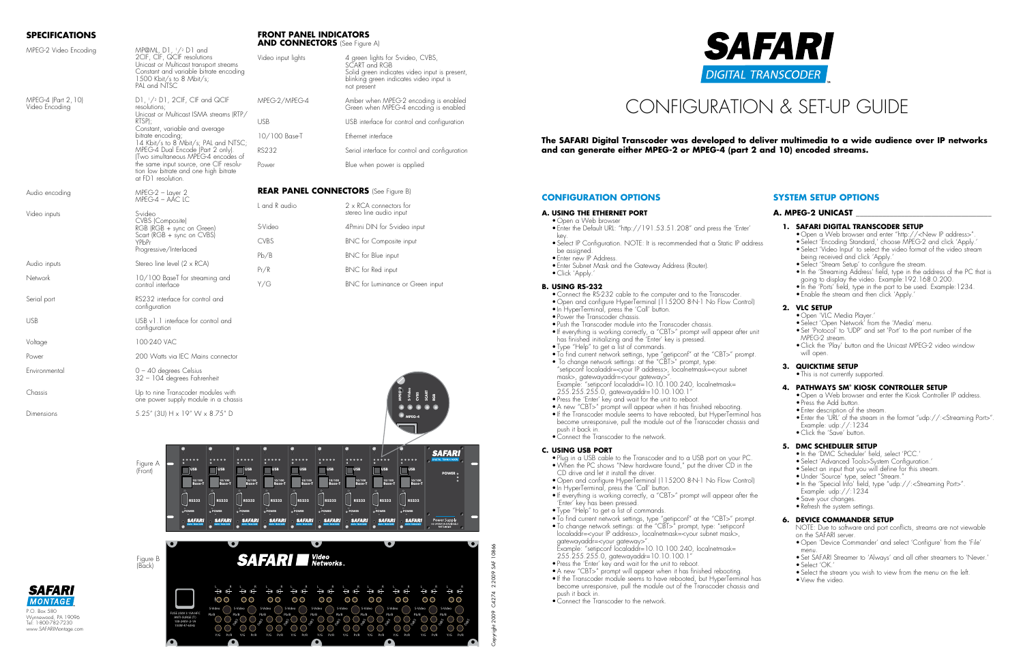# **Specifications**

- • Open a Web browser
- • Enter the Default URL: "http://191.53.51.208" and press the 'Enter' key.
	- • Select IP Configuration. NOTE: It is recommended that a Static IP address be assigned.
	- Enter new IP Address.
	- • Enter Subnet Mask and the Gateway Address (Router). • Click 'Apply.

Dimensions 5.25" (3U) H x 19" W x 8.75" D

**Front Panel Indicators**



- Connect the RS-232 cable to the computer and to the Transcoder
- Open and configure HyperTerminal (115200 8-N-1 No Flow Control)
- In HyperTerminal, press the 'Call' button.
- Power the Transcoder chassis.
- Push the Transcoder module into the Transcoder chassis.
- • If everything is working correctly, a "CBT>" prompt will appear after unit has finished initializing and the 'Enter' key is pressed.
- • Type "Help" to get a list of commands.
- • To find current network settings, type "getipconf" at the "CBT>" prompt. • To change network settings: at the "CBT>" prompt, type: "setipconf localaddr=<your IP address>, localnetmask=<your subnet mask>, gatewayaddr=<your gateway>".
- Example: "setipconf localaddr=10.10.100.240, localnetmask= 255.255.255.0, gatewayaddr=10.10.100.1"
- Press the 'Enter' key and wait for the unit to reboot.
- A new "CBT>" prompt will appear when it has finished rebooting. • If the Transcoder module seems to have rebooted, but HyperTerminal has
- become unresponsive, pull the module out of the Transcoder chassis and push it back in.
- • Connect the Transcoder to the network.

# Configuration & Set-up Guide

## **Configuration Options**

#### **A. Using the ETHERNET PORT**

- • Open a Web browser and enter "http://<New IP address>".
- Select 'Encoding Standard,' choose MPEG-2 and click 'Apply.
- Select 'Video Input' to select the video format of the video stream being received and click 'Apply.'
- Select 'Stream Setup' to configure the stream.
- In the 'Streaming Address' field, type in the address of the PC that is going to display the video. Example: 192.168.0.200.
- In the 'Ports' field, type in the port to be used. Example:1234.
- Enable the stream and then click 'Apply.

## **B. Using RS-232**

NOTE: Due to software and port conflicts, streams are not viewable on the SAFARI server.

#### **C. Using USB port**

- Plug in a USB cable to the Transcoder and to a USB port on your PC. • When the PC shows "New hardware found," put the driver CD in the CD drive and let it install the driver.
- • Open and configure HyperTerminal (115200 8-N-1 No Flow Control)
- In HyperTerminal, press the 'Call' button
- If everything is working correctly, a "CBT>" prompt will appear after the 'Enter' key has been pressed.
- • Type "Help" to get a list of commands.
- • To find current network settings, type "getipconf" at the "CBT>" prompt. • To change network settings: at the "CBT>" prompt, type: "setipconf localaddr=<your IP address>, localnetmask=<your subnet mask>, gatewayaddr=<your gateway>".
- Example: "setipconf localaddr=10.10.100.240, localnetmask= 255.255.255.0, gatewayaddr=10.10.100.1"
- Press the 'Enter' key and wait for the unit to reboot.
- A new "CBT>" prompt will appear when it has finished rebooting.
- If the Transcoder module seems to have rebooted, but HyperTerminal has become unresponsive, pull the module out of the Transcoder chassis and
- push it back in.
- Connect the Transcoder to the network

| MPEG-2 Video Encoding                 |                                                                                                                                                                                      | <b>AND CONNECTORS</b> (See Figure A)        |                                                                                                                                                               |  |
|---------------------------------------|--------------------------------------------------------------------------------------------------------------------------------------------------------------------------------------|---------------------------------------------|---------------------------------------------------------------------------------------------------------------------------------------------------------------|--|
|                                       | MP@ML, D1, 1/2 D1 and<br>2CIF, CIF, QCIF resolutions<br>Unicast or Multicast transport streams<br>Constant and variable bitrate encoding<br>1500 Kbit/s to 8 Mbit/s;<br>PAL and NTSC | Video input lights                          | 4 green lights for S-video, CVBS,<br>SCART and RGB<br>Solid green indicates video input is present,<br>blinking green indicates video input is<br>not present |  |
| MPEG-4 (Part 2, 10)<br>Video Encodina | D1, 1/2 D1, 2CIF, CIF and QCIF<br>resolutions;<br>Unicast or Multicast ISMA streams (RTP/                                                                                            | MPEG-2/MPEG-4                               | Amber when MPEG-2 encoding is enabled<br>Green when MPEG-4 encoding is enabled                                                                                |  |
|                                       | RTSP);<br>Constant, variable and average                                                                                                                                             | <b>USB</b>                                  | USB interface for control and configuration                                                                                                                   |  |
|                                       | bitrate encoding;<br>14 Kbit/s to 8 Mbit/s; PAL and NTSC;<br>MPEG-4 Dual Encode (Part 2 only).<br>(Two simultaneous MPEG-4 encodes of                                                | 10/100 Base-T                               | Ethernet interface                                                                                                                                            |  |
|                                       |                                                                                                                                                                                      | <b>RS232</b>                                | Serial interface for control and configuration                                                                                                                |  |
|                                       | the same input source, one CIF resolu-<br>tion low bitrate and one high bitrate<br>at FD1 resolution.                                                                                | Power                                       | Blue when power is applied                                                                                                                                    |  |
| Audio encoding                        | MPEG-2 - Layer 2                                                                                                                                                                     | <b>REAR PANEL CONNECTORS</b> (See Figure B) |                                                                                                                                                               |  |
| Video inputs                          | MPEG-4 – AÁC LC<br>S-video<br>CVBS (Composite)<br>RGB (RGB + sync on Green)<br>Scart (RGB + sync on CVBS)<br>YPbPr                                                                   | L and R audio                               | 2 x RCA connectors for<br>stereo line audio input                                                                                                             |  |
|                                       |                                                                                                                                                                                      | S-Video                                     | 4Pmini DIN for S-video input                                                                                                                                  |  |
|                                       |                                                                                                                                                                                      | <b>CVBS</b>                                 | <b>BNC</b> for Composite input                                                                                                                                |  |
|                                       | Progressive/Interlaced                                                                                                                                                               | Pb/B                                        | BNC for Blue input                                                                                                                                            |  |
| Audio inputs                          | Stereo line level (2 x RCA)<br>10/100 BaseT for streaming and<br>control interface                                                                                                   | Pr/R                                        | BNC for Red input                                                                                                                                             |  |
| Network                               |                                                                                                                                                                                      | Y/G                                         | BNC for Luminance or Green input                                                                                                                              |  |
| Serial port                           | RS232 interface for control and<br>configuration                                                                                                                                     |                                             |                                                                                                                                                               |  |
| <b>USB</b>                            | USB v1.1 interface for control and<br>configuration                                                                                                                                  |                                             |                                                                                                                                                               |  |
| Voltage                               | 100-240 VAC                                                                                                                                                                          |                                             |                                                                                                                                                               |  |
| Power                                 | 200 Watts via IEC Mains connector                                                                                                                                                    |                                             |                                                                                                                                                               |  |
| Environmental                         | $0 - 40$ degrees Celsius<br>32 - 104 degrees Fahrenheit                                                                                                                              |                                             |                                                                                                                                                               |  |
| Chassis                               | Up to nine Transcoder modules with<br>one power supply module in a chassis                                                                                                           |                                             |                                                                                                                                                               |  |

# **System Setup Options**

### **A. MPEG-2 Unicast \_\_\_\_\_\_\_\_\_\_\_\_\_\_\_\_\_\_\_\_\_\_\_\_\_\_\_\_\_\_\_\_\_\_\_\_**

|  | 1. SAFARI DIGITAL TRANSCODER SETUP |  |
|--|------------------------------------|--|
|  |                                    |  |

#### **2. VLC SETUP**

- • Open 'VLC Media Player.'
- Select 'Open Network' from the 'Media' menu.
- Set 'Protocol' to 'UDP' and set 'Port' to the port number of the MPEG-2 stream.
- Click the 'Play' button and the Unicast MPEG-2 video window will open.

#### **3. QUICKTIME SETUP**

• This is not currently supported.

#### **4. PATHWAYS SM® KIOSK CONTROLLER SET**

- Open a Web browser and enter the Kiosk Controller IP address.
- Press the Add button.
- • Enter description of the stream.
- Enter the 'URL' of the stream in the format "udp://:<Streaming Port>". Example: udp://:1234
- Click the 'Save' button.

#### **5. DMC SCHEDULER SETUP**

- In the 'DMC Scheduler' field, select 'PCC.
- Select 'Advanced Tools>System Configuration.'
- Select an input that you will define for this stream.
- • Under 'Source' type, select "Stream."
- • In the 'Special Info' field, type "udp://:<Streaming Port>". Example: udp://:1234
- • Save your changes.
- Refresh the system settings.

#### **6. DEVICE COMMANDER Setup**

- • Open 'Device Commander' and select 'Configure' from the 'File' menu.
- Set SAFARI Streamer to 'Always' and all other streamers to 'Never. • Select 'OK.'
- Select the stream you wish to view from the menu on the left.
- • View the video.

- 
- 
- 
- 
- 
- 

# **The SAFARI Digital Transcoder was developed to deliver multimedia to a wide audience over IP networks**

**and can generate either MPEG-2 or MPEG-4 (part 2 and 10) encoded streams.**



Figure A (Front)

(Back)

**10/100 Base-T 10/100**

**Base-T 10/100**

**Base-T 10/100**



**Base-T 10/100**

**Base-T 10/100**

**Base-T 10/100**

**Base-T 10/100**

**Base-T 10/100**

**Base-T**

**USB USB USB USB USB USB USB USB USB**

**POWER**

**SAFARI** 

**MPEG-4**